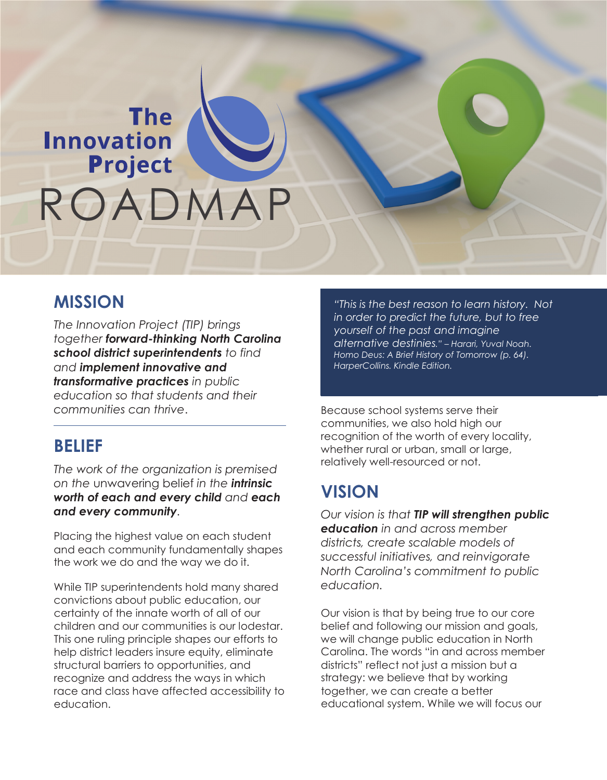# **The Innovation** ROADMAP ROADMAP

### **MISSION**

*The Innovation Project (TIP) brings together forward-thinking North Carolina school district superintendents to find and implement innovative and transformative practices in public education so that students and their communities can thrive*.

### **BELIEF**

*The work of the organization is premised on the* unwavering belief *in the intrinsic worth of each and every child and each and every community.*

Placing the highest value on each student and each community fundamentally shapes the work we do and the way we do it.

While TIP superintendents hold many shared convictions about public education, our certainty of the innate worth of all of our children and our communities is our lodestar. This one ruling principle shapes our efforts to help district leaders insure equity, eliminate structural barriers to opportunities, and recognize and address the ways in which race and class have affected accessibility to education.

*"This is the best reason to learn history. Not in order to predict the future, but to free yourself of the past and imagine alternative destinies." – Harari, Yuval Noah. Homo Deus: A Brief History of Tomorrow (p. 64). HarperCollins. Kindle Edition.*

Because school systems serve their communities, we also hold high our recognition of the worth of every locality, whether rural or urban, small or large, relatively well-resourced or not.

# **VISION**

*Our vision is that TIP will strengthen public education in and across member districts, create scalable models of successful initiatives, and reinvigorate North Carolina's commitment to public education.*

Our vision is that by being true to our core belief and following our mission and goals, we will change public education in North Carolina. The words "in and across member districts" reflect not just a mission but a strategy: we believe that by working together, we can create a better educational system. While we will focus our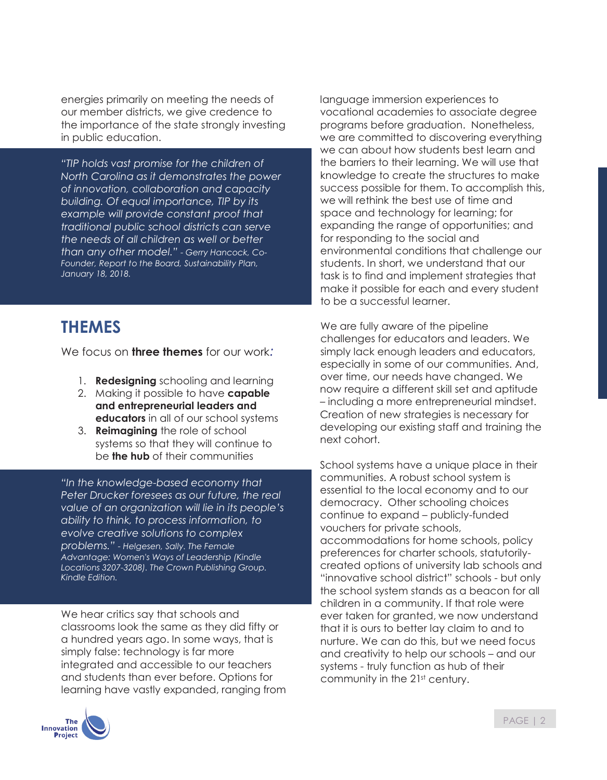energies primarily on meeting the needs of our member districts, we give credence to the importance of the state strongly investing in public education.

*"TIP holds vast promise for the children of North Carolina as it demonstrates the power of innovation, collaboration and capacity building. Of equal importance, TIP by its example will provide constant proof that traditional public school districts can serve the needs of all children as well or better than any other model." - Gerry Hancock, Co-Founder, Report to the Board, Sustainability Plan, January 18, 2018.*

### **THEMES**

We focus on **three themes** for our work*:*

- 1. **Redesigning** schooling and learning
- 2. Making it possible to have **capable and entrepreneurial leaders and educators** in all of our school systems
- 3. **Reimagining** the role of school systems so that they will continue to be **the hub** of their communities

*"In the knowledge-based economy that Peter Drucker foresees as our future, the real value of an organization will lie in its people's ability to think, to process information, to evolve creative solutions to complex problems." - Helgesen, Sally. The Female Advantage: Women's Ways of Leadership (Kindle Locations 3207-3208). The Crown Publishing Group. Kindle Edition.*

We hear critics say that schools and classrooms look the same as they did fifty or a hundred years ago. In some ways, that is simply false: technology is far more integrated and accessible to our teachers and students than ever before. Options for learning have vastly expanded, ranging from



language immersion experiences to vocational academies to associate degree programs before graduation. Nonetheless, we are committed to discovering everything we can about how students best learn and the barriers to their learning. We will use that knowledge to create the structures to make success possible for them. To accomplish this, we will rethink the best use of time and space and technology for learning; for expanding the range of opportunities; and for responding to the social and environmental conditions that challenge our students. In short, we understand that our task is to find and implement strategies that make it possible for each and every student to be a successful learner.

We are fully aware of the pipeline challenges for educators and leaders. We simply lack enough leaders and educators, especially in some of our communities. And, over time, our needs have changed. We now require a different skill set and aptitude – including a more entrepreneurial mindset. Creation of new strategies is necessary for developing our existing staff and training the next cohort.

School systems have a unique place in their communities. A robust school system is essential to the local economy and to our democracy. Other schooling choices continue to expand – publicly-funded vouchers for private schools, accommodations for home schools, policy preferences for charter schools, statutorilycreated options of university lab schools and "innovative school district" schools - but only the school system stands as a beacon for all children in a community. If that role were ever taken for granted, we now understand that it is ours to better lay claim to and to nurture. We can do this, but we need focus and creativity to help our schools – and our systems - truly function as hub of their community in the 21<sup>st</sup> century.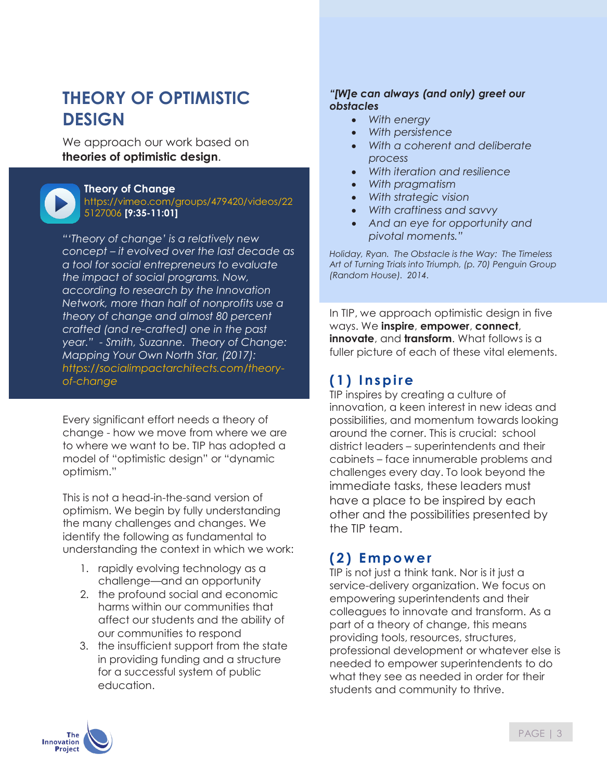# **THEORY OF OPTIMISTIC DESIGN**

We approach our work based on **theories of optimistic design**.



#### **Theory of Change**

https://vimeo.com/groups/479420/videos/22 5127006 **[9:35-11:01]**

*"'Theory of change' is a relatively new concept – it evolved over the last decade as a tool for social entrepreneurs to evaluate the impact of social programs. Now, according to research by the Innovation Network, more than half of nonprofits use a theory of change and almost 80 percent crafted (and re-crafted) one in the past year." - Smith, Suzanne. Theory of Change: Mapping Your Own North Star, (2017): https://socialimpactarchitects.com/theoryof-change*

Every significant effort needs a theory of change - how we move from where we are to where we want to be. TIP has adopted a model of "optimistic design" or "dynamic optimism."

This is not a head-in-the-sand version of optimism. We begin by fully understanding the many challenges and changes. We identify the following as fundamental to understanding the context in which we work:

- 1. rapidly evolving technology as a challenge—and an opportunity
- 2. the profound social and economic harms within our communities that affect our students and the ability of our communities to respond
- 3. the insufficient support from the state in providing funding and a structure for a successful system of public education.

#### *"[W]e can always (and only) greet our obstacles*

- *With energy*
- *With persistence*
- *With a coherent and deliberate process*
- *With iteration and resilience*
- *With pragmatism*
- *With strategic vision*
- *With craftiness and savvy*
- *And an eye for opportunity and pivotal moments."*

*Holiday, Ryan. The Obstacle is the Way: The Timeless Art of Turning Trials into Triumph, (p. 70) Penguin Group (Random House). 2014.*

In TIP, we approach optimistic design in five ways. We **inspire**, **empower**, **connect**, **innovate**, and **transform**. What follows is a fuller picture of each of these vital elements.

### **(1) I nspire**

TIP inspires by creating a culture of innovation, a keen interest in new ideas and possibilities, and momentum towards looking around the corner. This is crucial: school district leaders – superintendents and their cabinets – face innumerable problems and challenges every day. To look beyond the immediate tasks, these leaders must have a place to be inspired by each other and the possibilities presented by the TIP team.

### **(2) Empower**

TIP is not just a think tank. Nor is it just a service-delivery organization. We focus on empowering superintendents and their colleagues to innovate and transform. As a part of a theory of change, this means providing tools, resources, structures, professional development or whatever else is needed to empower superintendents to do what they see as needed in order for their students and community to thrive.

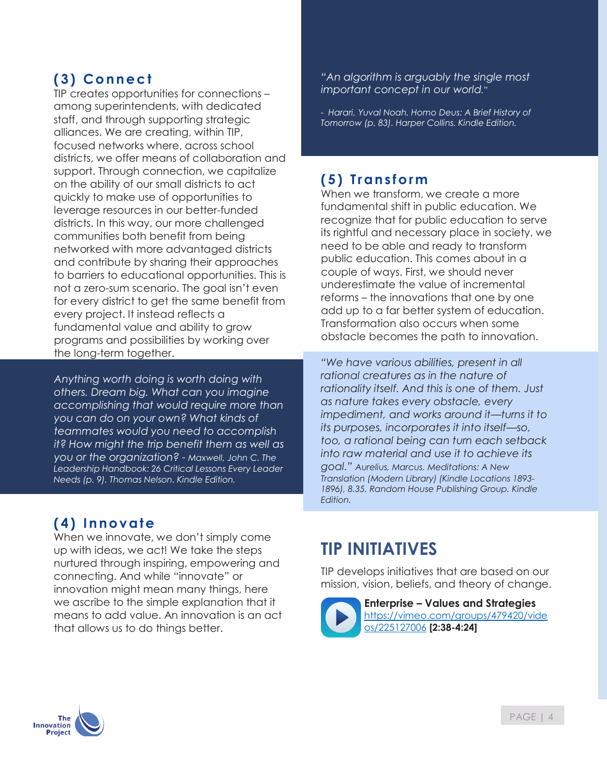### **(3) Connect**

TIP creates opportunities for connections – among superintendents, with dedicated staff, and through supporting strategic alliances. We are creating, within TIP, focused networks where, across school districts, we offer means of collaboration and support. Through connection, we capitalize on the ability of our small districts to act quickly to make use of opportunities to leverage resources in our better-funded districts. In this way, our more challenged communities both benefit from being networked with more advantaged districts and contribute by sharing their approaches to barriers to educational opportunities. This is not a zero-sum scenario. The goal isn't even for every district to get the same benefit from every project. It instead reflects a fundamental value and ability to grow programs and possibilities by working over the long-term together.

*Anything worth doing is worth doing with others. Dream big. What can you imagine accomplishing that would require more than you can do on your own? What kinds of teammates would you need to accomplish it? How might the trip benefit them as well as you or the organization? - Maxwell, John C. The Leadership Handbook: 26 Critical Lessons Every Leader Needs (p. 9). Thomas Nelson. Kindle Edition.*

#### *"An algorithm is arguably the single most important concept in our world."*

*- Harari, Yuval Noah. Homo Deus: A Brief History of Tomorrow (p. 83). Harper Collins. Kindle Edition.*

### **(5) Transform**

When we transform, we create a more fundamental shift in public education. We recognize that for public education to serve its rightful and necessary place in society, we need to be able and ready to transform public education. This comes about in a couple of ways. First, we should never underestimate the value of incremental reforms – the innovations that one by one add up to a far better system of education. Transformation also occurs when some obstacle becomes the path to innovation.

*"We have various abilities, present in all rational creatures as in the nature of rationality itself. And this is one of them. Just as nature takes every obstacle, every impediment, and works around it—turns it to its purposes, incorporates it into itself—so, too, a rational being can turn each setback into raw material and use it to achieve its goal." Aurelius, Marcus. Meditations: A New Translation (Modern Library) (Kindle Locations 1893- 1896), 8.35. Random House Publishing Group. Kindle Edition.*

### **(4) Innovate**

When we innovate, we don't simply come up with ideas, we act! We take the steps nurtured through inspiring, empowering and connecting. And while "innovate" or innovation might mean many things, here we ascribe to the simple explanation that it means to add value. An innovation is an act that allows us to do things better.

# **TIP INITIATIVES**

TIP develops initiatives that are based on our mission, vision, beliefs, and theory of change.



**Enterprise – Values and Strategies** https://vimeo.com/groups/479420/vide os/225127006 **[2:38-4:24]**

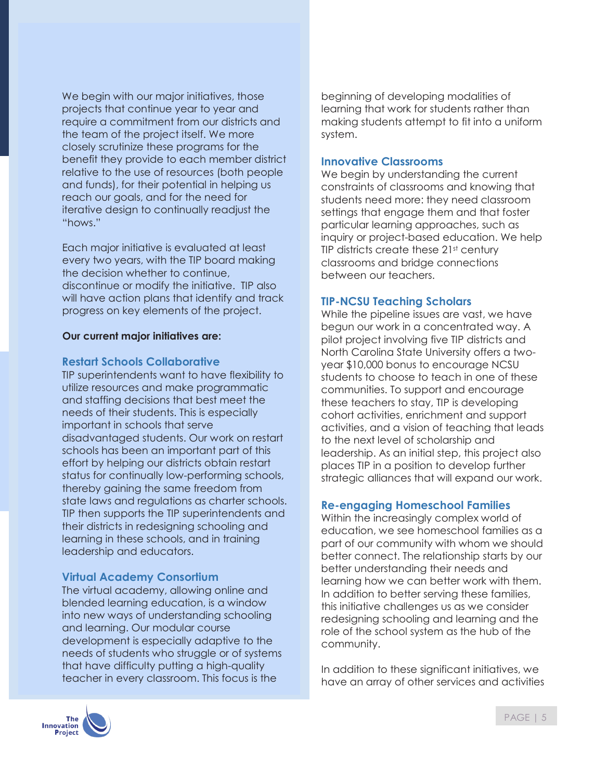We begin with our major initiatives, those projects that continue year to year and require a commitment from our districts and the team of the project itself. We more closely scrutinize these programs for the benefit they provide to each member district relative to the use of resources (both people and funds), for their potential in helping us reach our goals, and for the need for iterative design to continually readjust the "hows."

Each major initiative is evaluated at least every two years, with the TIP board making the decision whether to continue, discontinue or modify the initiative. TIP also will have action plans that identify and track progress on key elements of the project.

#### **Our current major initiatives are:**

#### **Restart Schools Collaborative**

TIP superintendents want to have flexibility to utilize resources and make programmatic and staffing decisions that best meet the needs of their students. This is especially important in schools that serve disadvantaged students. Our work on restart schools has been an important part of this effort by helping our districts obtain restart status for continually low-performing schools, thereby gaining the same freedom from state laws and regulations as charter schools. TIP then supports the TIP superintendents and their districts in redesigning schooling and learning in these schools, and in training leadership and educators.

#### **Virtual Academy Consortium**

The virtual academy, allowing online and blended learning education, is a window into new ways of understanding schooling and learning. Our modular course development is especially adaptive to the needs of students who struggle or of systems that have difficulty putting a high-quality teacher in every classroom. This focus is the

beginning of developing modalities of learning that work for students rather than making students attempt to fit into a uniform system.

#### **Innovative Classrooms**

We begin by understanding the current constraints of classrooms and knowing that students need more: they need classroom settings that engage them and that foster particular learning approaches, such as inquiry or project-based education. We help TIP districts create these 21<sup>st</sup> century classrooms and bridge connections between our teachers.

#### **TIP-NCSU Teaching Scholars**

While the pipeline issues are vast, we have begun our work in a concentrated way. A pilot project involving five TIP districts and North Carolina State University offers a twoyear \$10,000 bonus to encourage NCSU students to choose to teach in one of these communities. To support and encourage these teachers to stay, TIP is developing cohort activities, enrichment and support activities, and a vision of teaching that leads to the next level of scholarship and leadership. As an initial step, this project also places TIP in a position to develop further strategic alliances that will expand our work.

#### **Re-engaging Homeschool Families**

Within the increasingly complex world of education, we see homeschool families as a part of our community with whom we should better connect. The relationship starts by our better understanding their needs and learning how we can better work with them. In addition to better serving these families, this initiative challenges us as we consider redesigning schooling and learning and the role of the school system as the hub of the community.

In addition to these significant initiatives, we have an array of other services and activities

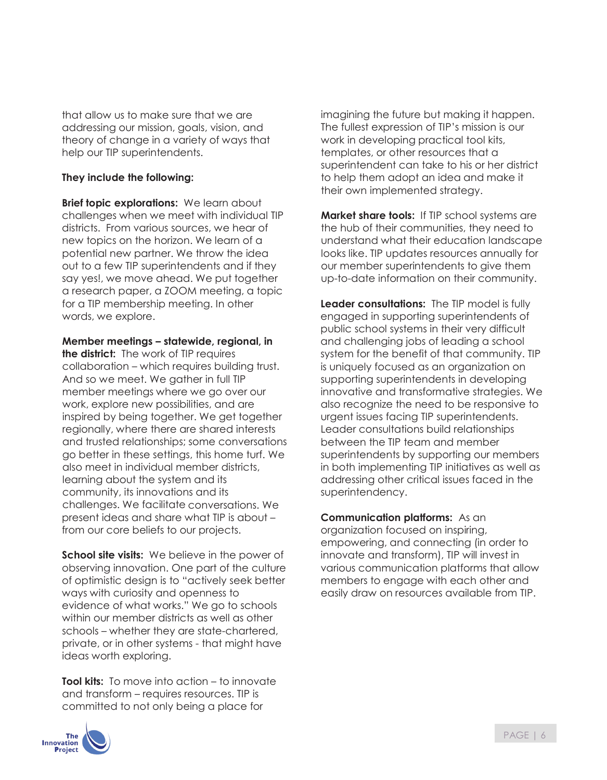that allow us to make sure that we are addressing our mission, goals, vision, and theory of change in a variety of ways that help our TIP superintendents.

#### **They include the following:**

**Brief topic explorations:** We learn about challenges when we meet with individual TIP districts. From various sources, we hear of new topics on the horizon. We learn of a potential new partner. We throw the idea out to a few TIP superintendents and if they say yes!, we move ahead. We put together a research paper, a ZOOM meeting, a topic for a TIP membership meeting. In other words, we explore.

**Member meetings – statewide, regional, in the district:** The work of TIP requires collaboration – which requires building trust. And so we meet. We gather in full TIP member meetings where we go over our work, explore new possibilities, and are inspired by being together. We get together regionally, where there are shared interests and trusted relationships; some conversations go better in these settings, this home turf. We also meet in individual member districts, learning about the system and its community, its innovations and its challenges. We facilitate conversations. We present ideas and share what TIP is about – from our core beliefs to our projects.

**School site visits:** We believe in the power of observing innovation. One part of the culture of optimistic design is to "actively seek better ways with curiosity and openness to evidence of what works." We go to schools within our member districts as well as other schools – whether they are state-chartered, private, or in other systems - that might have ideas worth exploring.

**Tool kits:** To move into action – to innovate and transform – requires resources. TIP is committed to not only being a place for

imagining the future but making it happen. The fullest expression of TIP's mission is our work in developing practical tool kits, templates, or other resources that a superintendent can take to his or her district to help them adopt an idea and make it their own implemented strategy.

**Market share tools:** If TIP school systems are the hub of their communities, they need to understand what their education landscape looks like. TIP updates resources annually for our member superintendents to give them up-to-date information on their community.

**Leader consultations:** The TIP model is fully engaged in supporting superintendents of public school systems in their very difficult and challenging jobs of leading a school system for the benefit of that community. TIP is uniquely focused as an organization on supporting superintendents in developing innovative and transformative strategies. We also recognize the need to be responsive to urgent issues facing TIP superintendents. Leader consultations build relationships between the TIP team and member superintendents by supporting our members in both implementing TIP initiatives as well as addressing other critical issues faced in the superintendency.

**Communication platforms:** As an organization focused on inspiring, empowering, and connecting (in order to innovate and transform), TIP will invest in various communication platforms that allow members to engage with each other and easily draw on resources available from TIP.

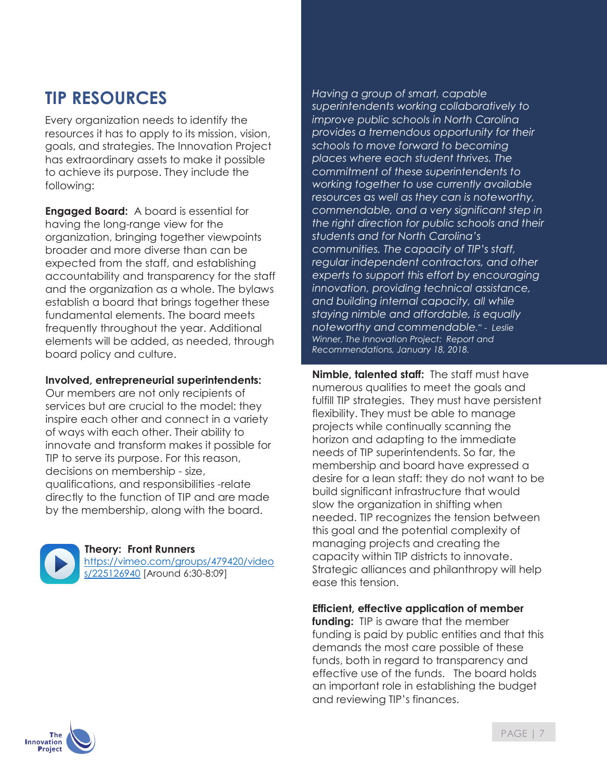## **TIP RESOURCES**

Every organization needs to identify the resources it has to apply to its mission, vision, goals, and strategies. The Innovation Project has extraordinary assets to make it possible to achieve its purpose. They include the following:

**Engaged Board:** A board is essential for having the long-range view for the organization, bringing together viewpoints broader and more diverse than can be expected from the staff, and establishing accountability and transparency for the staff and the organization as a whole. The bylaws establish a board that brings together these fundamental elements. The board meets frequently throughout the year. Additional elements will be added, as needed, through board policy and culture.

#### **Involved, entrepreneurial superintendents:**

Our members are not only recipients of services but are crucial to the model: they inspire each other and connect in a variety of ways with each other. Their ability to innovate and transform makes it possible for TIP to serve its purpose. For this reason, decisions on membership - size, qualifications, and responsibilities -relate directly to the function of TIP and are made by the membership, along with the board.



#### **Theory: Front Runners**

https://vimeo.com/groups/479420/video s/225126940 [Around 6:30-8:09]

*Having a group of smart, capable superintendents working collaboratively to improve public schools in North Carolina provides a tremendous opportunity for their schools to move forward to becoming places where each student thrives. The commitment of these superintendents to working together to use currently available resources as well as they can is noteworthy, commendable, and a very significant step in the right direction for public schools and their students and for North Carolina's communities. The capacity of TIP's staff, regular independent contractors, and other experts to support this effort by encouraging innovation, providing technical assistance, and building internal capacity, all while staying nimble and affordable, is equally noteworthy and commendable." - Leslie Winner, The Innovation Project: Report and Recommendations, January 18, 2018.*

**Nimble, talented staff:** The staff must have numerous qualities to meet the goals and fulfill TIP strategies. They must have persistent flexibility. They must be able to manage projects while continually scanning the horizon and adapting to the immediate needs of TIP superintendents. So far, the membership and board have expressed a desire for a lean staff: they do not want to be build significant infrastructure that would slow the organization in shifting when needed. TIP recognizes the tension between this goal and the potential complexity of managing projects and creating the capacity within TIP districts to innovate. Strategic alliances and philanthropy will help ease this tension.

#### **Efficient, effective application of member**

**funding:** TIP is aware that the member funding is paid by public entities and that this demands the most care possible of these funds, both in regard to transparency and effective use of the funds. The board holds an important role in establishing the budget and reviewing TIP's finances.